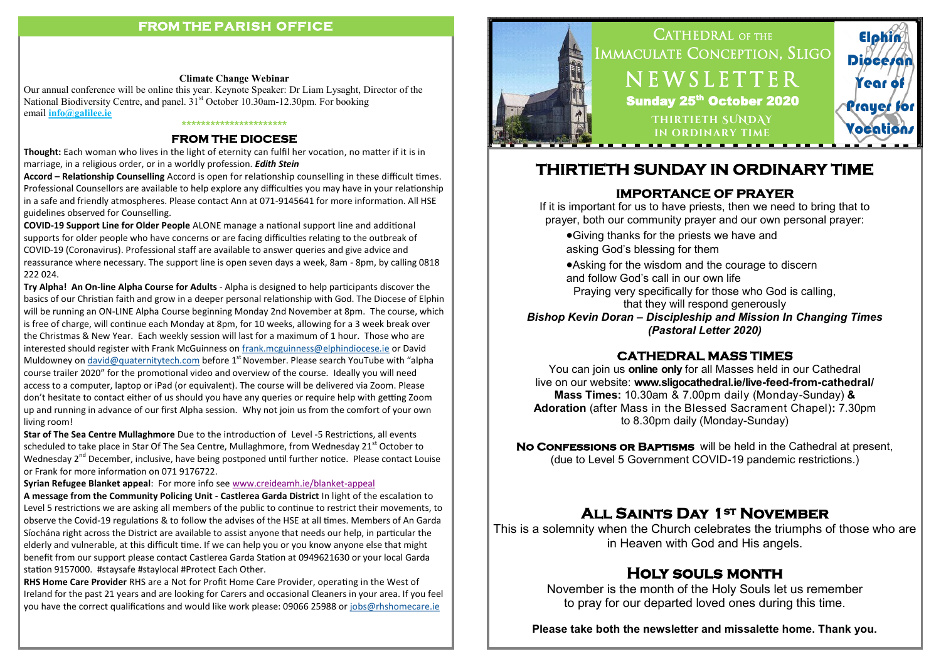#### **FROM THE PARISH OFFICE**

#### **Climate Change Webinar**

Our annual conference will be online this year. Keynote Speaker: Dr Liam Lysaght, Director of the National Biodiversity Centre, and panel. 31<sup>st</sup> October 10.30am-12.30pm. For booking email **[info@galilee.ie](mailto:info@galilee.ie)**

#### **\*\*\*\*\*\*\*\*\*\*\*\*\*\*\*\*\*\*\*\*\*\***

#### **FROM THE DIOCESE**

**Thought:** Each woman who lives in the light of eternity can fulfil her vocation, no matter if it is in marriage, in a religious order, or in a worldly profession. *Edith Stein*

**Accord – Relationship Counselling** Accord is open for relationship counselling in these difficult times. Professional Counsellors are available to help explore any difficulties you may have in your relationship in a safe and friendly atmospheres. Please contact Ann at 071-9145641 for more information. All HSE guidelines observed for Counselling.

**COVID-19 Support Line for Older People** ALONE manage a national support line and additional supports for older people who have concerns or are facing difficulties relating to the outbreak of COVID-19 (Coronavirus). Professional staff are available to answer queries and give advice and reassurance where necessary. The support line is open seven days a week, 8am - 8pm, by calling 0818 222 024.

**Try Alpha! An On-line Alpha Course for Adults** - Alpha is designed to help participants discover the basics of our Christian faith and grow in a deeper personal relationship with God. The Diocese of Elphin will be running an ON-LINE Alpha Course beginning Monday 2nd November at 8pm. The course, which is free of charge, will continue each Monday at 8pm, for 10 weeks, allowing for a 3 week break over the Christmas & New Year. Each weekly session will last for a maximum of 1 hour. Those who are interested should register with Frank McGuinness on [frank.mcguinness@elphindiocese.ie](mailto:frank.mcguinness@elphindiocese.ie) or David Muldowney on [david@quaternitytech.com](mailto:david@quaternitytech.com) before  $1<sup>st</sup>$  November. Please search YouTube with "alpha course trailer 2020" for the promotional video and overview of the course. Ideally you will need access to a computer, laptop or iPad (or equivalent). The course will be delivered via Zoom. Please don't hesitate to contact either of us should you have any queries or require help with getting Zoom up and running in advance of our first Alpha session. Why not join us from the comfort of your own living room!

**Star of The Sea Centre Mullaghmore** Due to the introduction of Level -5 Restrictions, all events scheduled to take place in Star Of The Sea Centre, Mullaghmore, from Wednesday  $21^{st}$  October to Wednesday 2<sup>nd</sup> December, inclusive, have being postponed until further notice. Please contact Louise or Frank for more information on 071 9176722.

#### **Syrian Refugee Blanket appeal**: For more info see [www.creideamh.ie/blanket](http://www.creideamh.ie/blanket-appeal)-appeal

**A message from the Community Policing Unit - Castlerea Garda District** In light of the escalation to Level 5 restrictions we are asking all members of the public to continue to restrict their movements, to observe the Covid-19 regulations & to follow the advises of the HSE at all times. Members of An Garda Síochána right across the District are available to assist anyone that needs our help, in particular the elderly and vulnerable, at this difficult time. If we can help you or you know anyone else that might benefit from our support please contact Castlerea Garda Station at 0949621630 or your local Garda station 9157000. #staysafe #staylocal #Protect Each Other.

**RHS Home Care Provider** RHS are a Not for Profit Home Care Provider, operating in the West of Ireland for the past 21 years and are looking for Carers and occasional Cleaners in your area. If you feel you have the correct qualifications and would like work please: 09066 25988 or [jobs@rhshomecare.ie](mailto:jobs@rhshomecare.ie)



# **THIRTIETH SUNDAY IN ORDINARY TIME**

#### **IMPORTANCE OF PRAYER**

If it is important for us to have priests, then we need to bring that to prayer, both our community prayer and our own personal prayer:

Giving thanks for the priests we have and asking God's blessing for them

Asking for the wisdom and the courage to discern and follow God's call in our own life Praying very specifically for those who God is calling,

that they will respond generously

*Bishop Kevin Doran – Discipleship and Mission In Changing Times (Pastoral Letter 2020)*

### **CATHEDRAL MASS TIMES**

You can join us **online only** for all Masses held in our Cathedral live on our website: **www.sligocathedral.ie/live-feed-from-cathedral/ Mass Times:** 10.30am & 7.00pm daily (Monday-Sunday) **& Adoration** (after Mass in the Blessed Sacrament Chapel)**:** 7.30pm to 8.30pm daily (Monday-Sunday)

**No Confessions or Baptisms** will be held in the Cathedral at present, (due to Level 5 Government COVID-19 pandemic restrictions.)

## **All Saints Day 1st November**

This is a solemnity when the Church celebrates the triumphs of those who are in Heaven with God and His angels.

# **Holy souls month**

November is the month of the Holy Souls let us remember to pray for our departed loved ones during this time.

**Please take both the newsletter and missalette home. Thank you.**